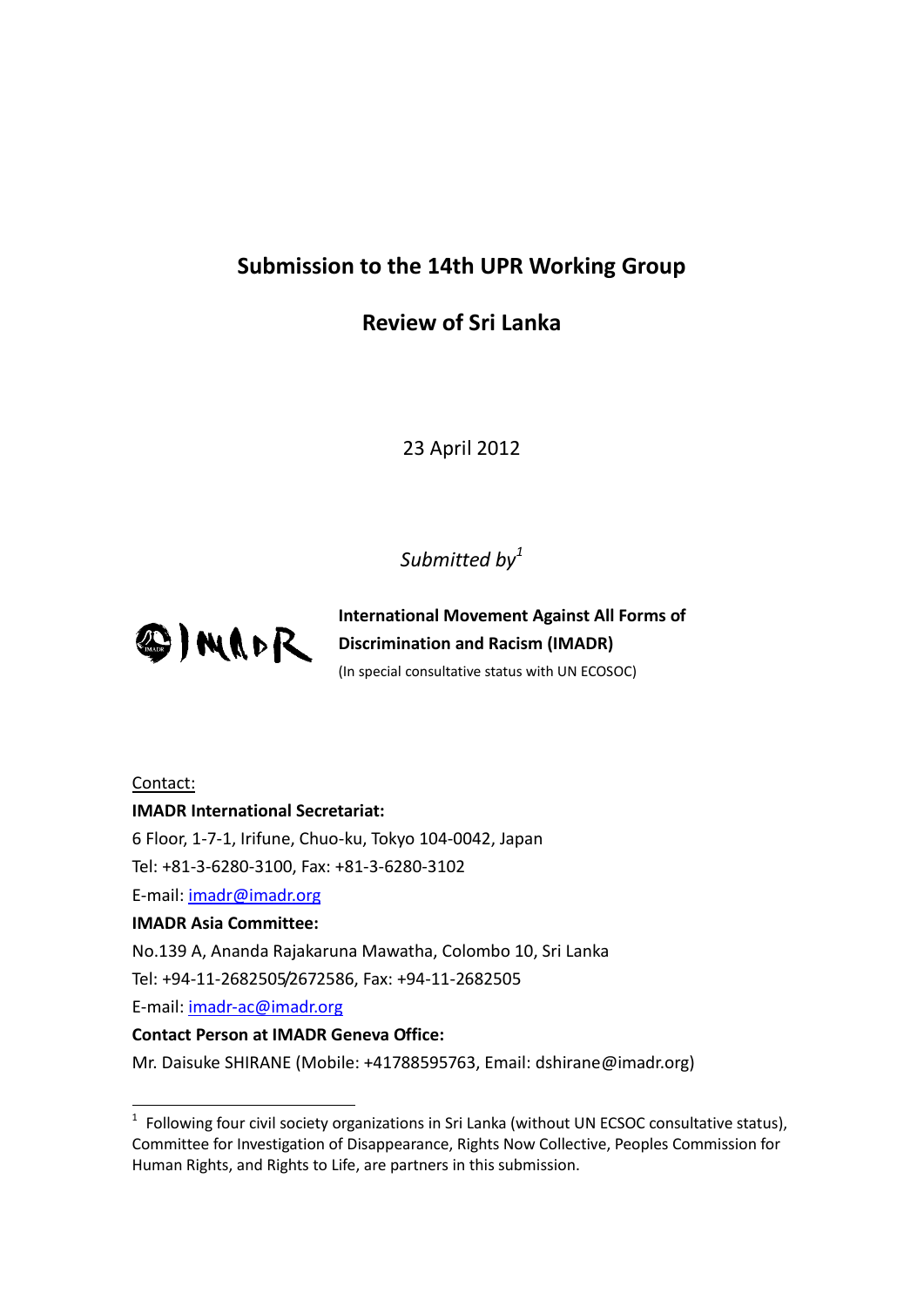# **Submission to the 14th UPR Working Group**

# **Review of Sri Lanka**

23 April 2012

# *Submitted by<sup>1</sup>*



**International Movement Against All Forms of Discrimination and Racism (IMADR)** (In special consultative status with UN ECOSOC)

## Contact:

-

#### **IMADR International Secretariat:**

6 Floor, 1-7-1, Irifune, Chuo-ku, Tokyo 104-0042, Japan

Tel: +81-3-6280-3100, Fax: +81-3-6280-3102

E-mail: [imadr@imadr.org](mailto:imadr@imadr.org)

#### **IMADR Asia Committee:**

No.139 A, Ananda Rajakaruna Mawatha, Colombo 10, Sri Lanka

Tel: +94-11-2682505/2672586, Fax: +94-11-2682505

E-mail: [imadr-ac@imadr.org](mailto:imadr-ac@imadr.org)

#### **Contact Person at IMADR Geneva Office:**

Mr. Daisuke SHIRANE (Mobile: +41788595763, Email: dshirane@imadr.org)

 $1$  Following four civil society organizations in Sri Lanka (without UN ECSOC consultative status), Committee for Investigation of Disappearance, Rights Now Collective, Peoples Commission for Human Rights, and Rights to Life, are partners in this submission.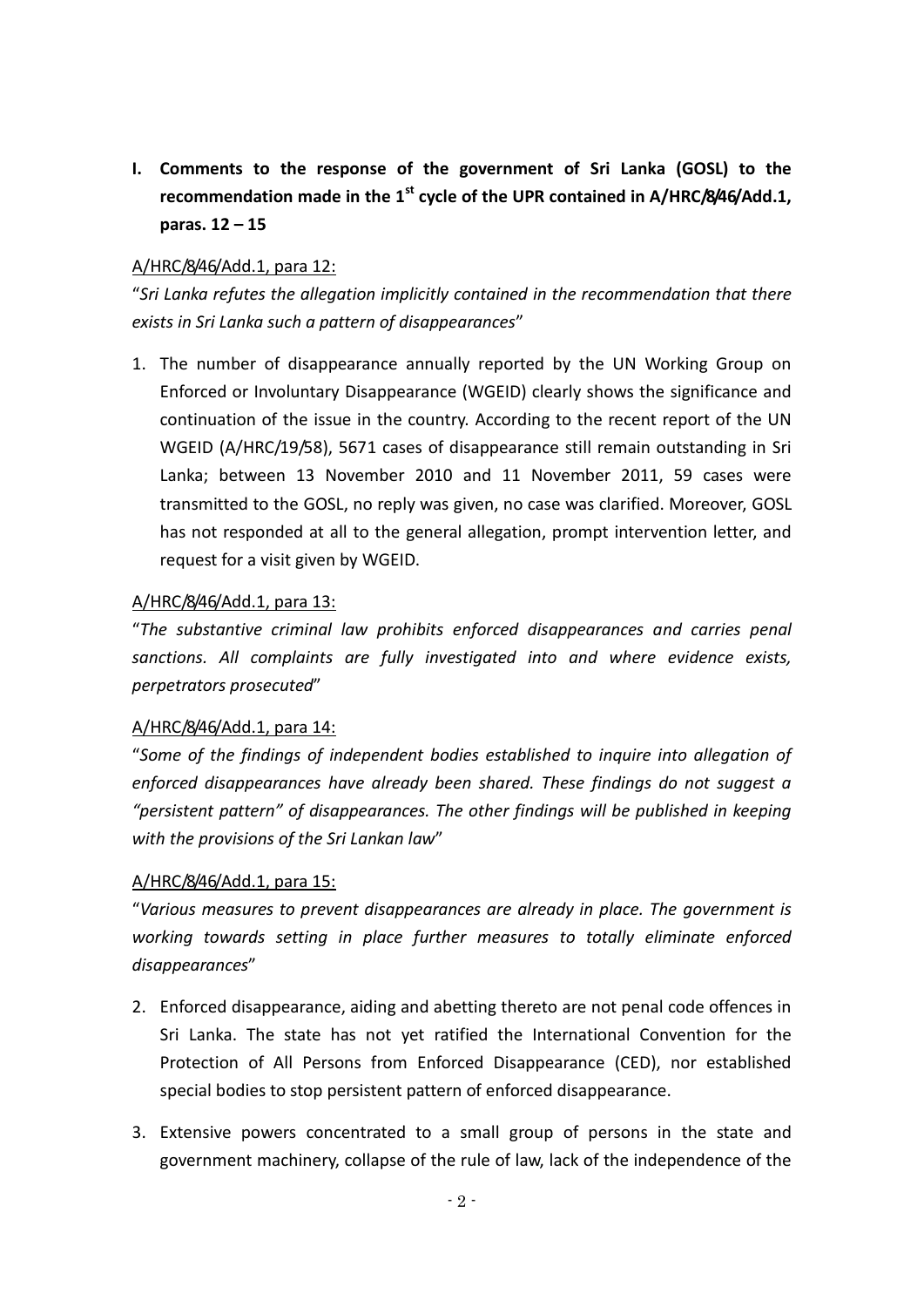**I. Comments to the response of the government of Sri Lanka (GOSL) to the recommendation made in the 1st cycle of the UPR contained in A/HRC/8/46/Add.1, paras. 12 – 15**

### A/HRC/8/46/Add.1, para 12:

"*Sri Lanka refutes the allegation implicitly contained in the recommendation that there exists in Sri Lanka such a pattern of disappearances*"

1. The number of disappearance annually reported by the UN Working Group on Enforced or Involuntary Disappearance (WGEID) clearly shows the significance and continuation of the issue in the country. According to the recent report of the UN WGEID (A/HRC/19/58), 5671 cases of disappearance still remain outstanding in Sri Lanka; between 13 November 2010 and 11 November 2011, 59 cases were transmitted to the GOSL, no reply was given, no case was clarified. Moreover, GOSL has not responded at all to the general allegation, prompt intervention letter, and request for a visit given by WGEID.

#### A/HRC/8/46/Add.1, para 13:

"*The substantive criminal law prohibits enforced disappearances and carries penal sanctions. All complaints are fully investigated into and where evidence exists, perpetrators prosecuted*"

## A/HRC/8/46/Add.1, para 14:

"*Some of the findings of independent bodies established to inquire into allegation of enforced disappearances have already been shared. These findings do not suggest a "persistent pattern" of disappearances. The other findings will be published in keeping with the provisions of the Sri Lankan law*"

#### A/HRC/8/46/Add.1, para 15:

"*Various measures to prevent disappearances are already in place. The government is working towards setting in place further measures to totally eliminate enforced disappearances*"

- 2. Enforced disappearance, aiding and abetting thereto are not penal code offences in Sri Lanka. The state has not yet ratified the International Convention for the Protection of All Persons from Enforced Disappearance (CED), nor established special bodies to stop persistent pattern of enforced disappearance.
- 3. Extensive powers concentrated to a small group of persons in the state and government machinery, collapse of the rule of law, lack of the independence of the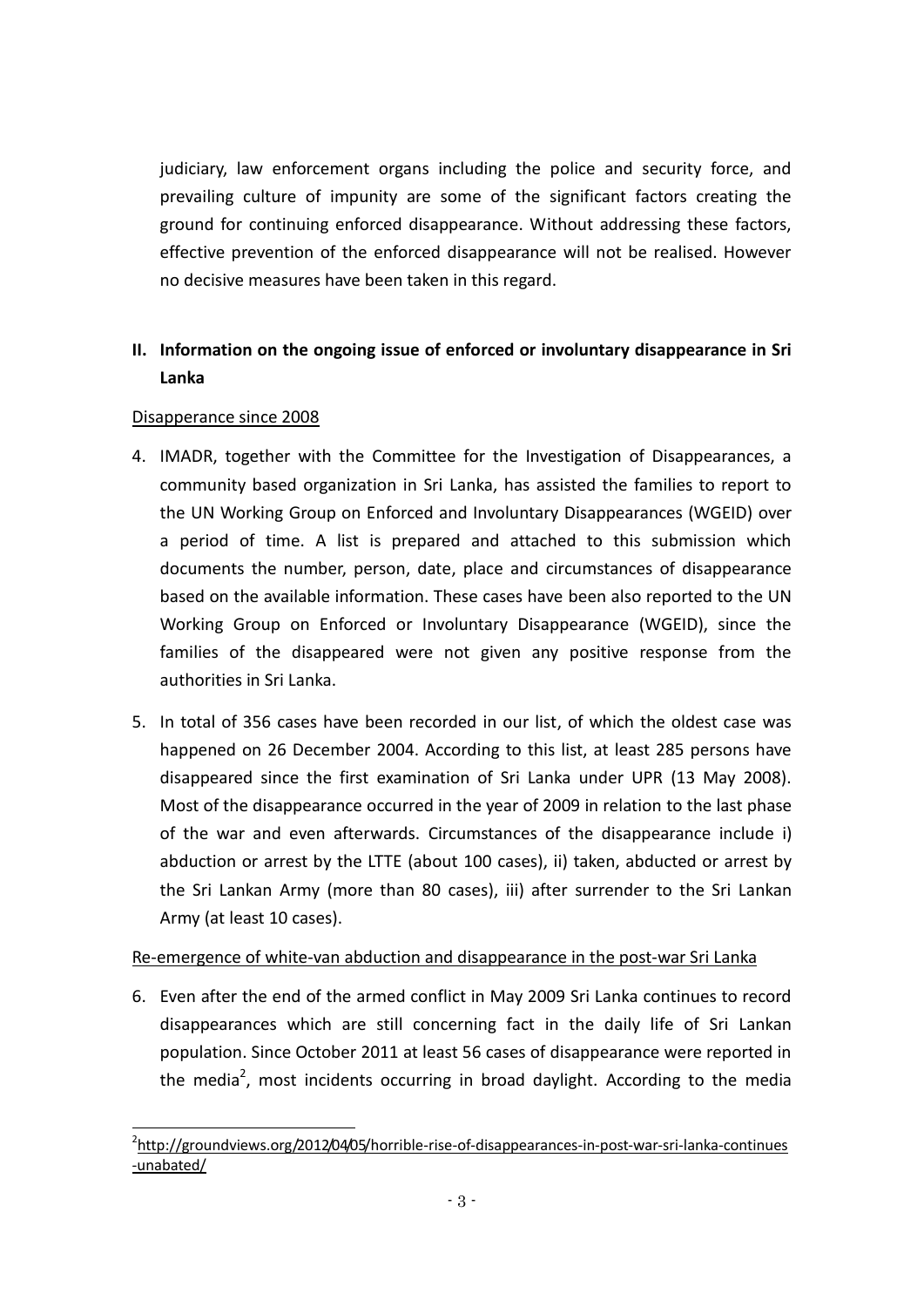judiciary, law enforcement organs including the police and security force, and prevailing culture of impunity are some of the significant factors creating the ground for continuing enforced disappearance. Without addressing these factors, effective prevention of the enforced disappearance will not be realised. However no decisive measures have been taken in this regard.

# **II. Information on the ongoing issue of enforced or involuntary disappearance in Sri Lanka**

## Disapperance since 2008

-

- 4. IMADR, together with the Committee for the Investigation of Disappearances, a community based organization in Sri Lanka, has assisted the families to report to the UN Working Group on Enforced and Involuntary Disappearances (WGEID) over a period of time. A list is prepared and attached to this submission which documents the number, person, date, place and circumstances of disappearance based on the available information. These cases have been also reported to the UN Working Group on Enforced or Involuntary Disappearance (WGEID), since the families of the disappeared were not given any positive response from the authorities in Sri Lanka.
- 5. In total of 356 cases have been recorded in our list, of which the oldest case was happened on 26 December 2004. According to this list, at least 285 persons have disappeared since the first examination of Sri Lanka under UPR (13 May 2008). Most of the disappearance occurred in the year of 2009 in relation to the last phase of the war and even afterwards. Circumstances of the disappearance include i) abduction or arrest by the LTTE (about 100 cases), ii) taken, abducted or arrest by the Sri Lankan Army (more than 80 cases), iii) after surrender to the Sri Lankan Army (at least 10 cases).

#### Re-emergence of white-van abduction and disappearance in the post-war Sri Lanka

6. Even after the end of the armed conflict in May 2009 Sri Lanka continues to record disappearances which are still concerning fact in the daily life of Sri Lankan population. Since October 2011 at least 56 cases of disappearance were reported in the media<sup>2</sup>, most incidents occurring in broad daylight. According to the media

<sup>&</sup>lt;sup>2</sup>[http://groundviews.org/2012/04/05/horrible-rise-of-disappearances-in-post-war-sri-lanka-continues](http://groundviews.org/2012/04/05/horrible-rise-of-disappearances-in-post-war-sri-lanka-continues-unabated/) [-unabated/](http://groundviews.org/2012/04/05/horrible-rise-of-disappearances-in-post-war-sri-lanka-continues-unabated/)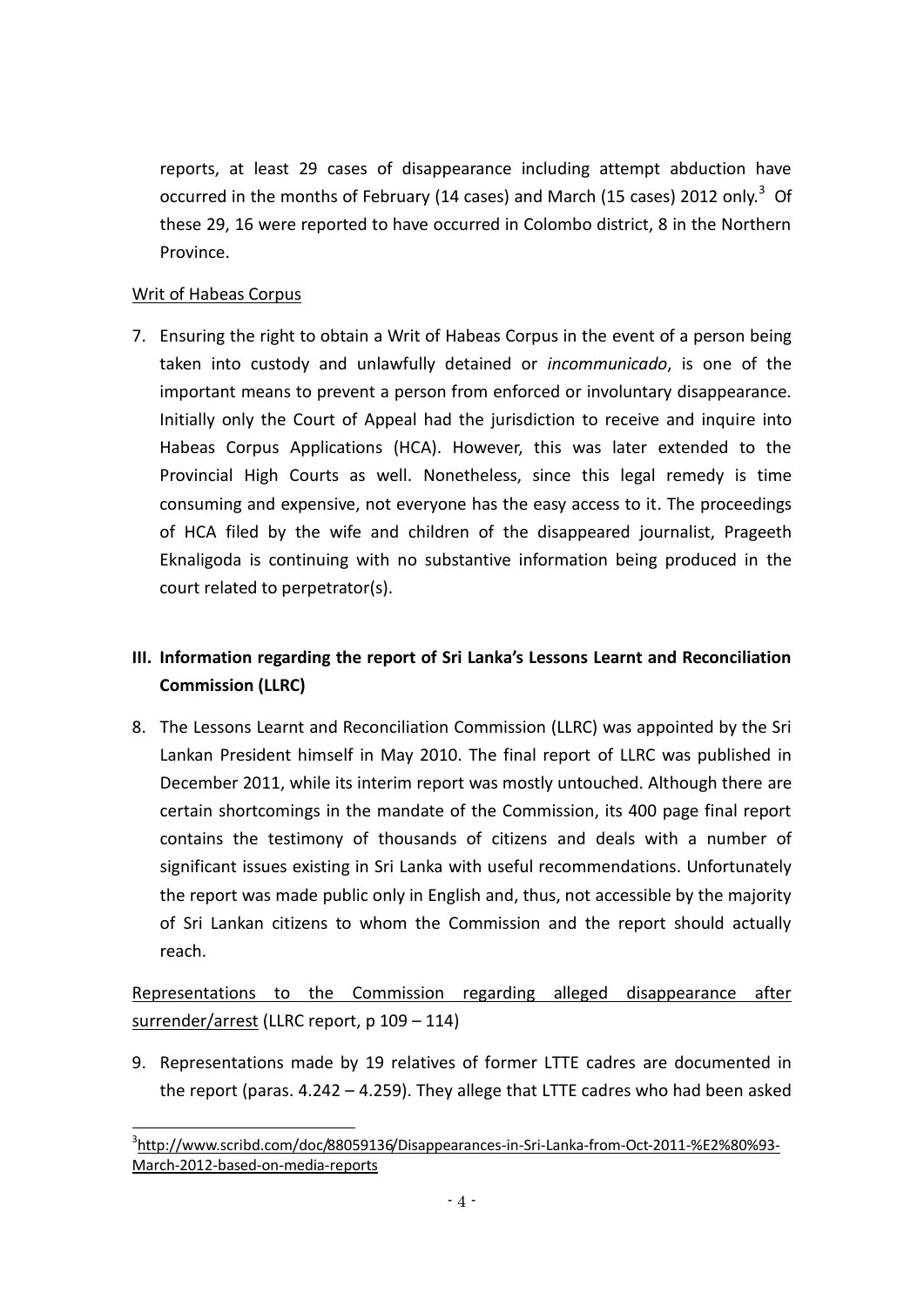reports, at least 29 cases of disappearance including attempt abduction have occurred in the months of February (14 cases) and March (15 cases) 2012 only.<sup>3</sup> Of these 29, 16 were reported to have occurred in Colombo district, 8 in the Northern Province.

## Writ of Habeas Corpus

-

7. Ensuring the right to obtain a Writ of Habeas Corpus in the event of a person being taken into custody and unlawfully detained or *incommunicado*, is one of the important means to prevent a person from enforced or involuntary disappearance. Initially only the Court of Appeal had the jurisdiction to receive and inquire into Habeas Corpus Applications (HCA). However, this was later extended to the Provincial High Courts as well. Nonetheless, since this legal remedy is time consuming and expensive, not everyone has the easy access to it. The proceedings of HCA filed by the wife and children of the disappeared journalist, Prageeth Eknaligoda is continuing with no substantive information being produced in the court related to perpetrator(s).

# **III. Information regarding the report of Sri Lanka's Lessons Learnt and Reconciliation Commission (LLRC)**

8. The Lessons Learnt and Reconciliation Commission (LLRC) was appointed by the Sri Lankan President himself in May 2010. The final report of LLRC was published in December 2011, while its interim report was mostly untouched. Although there are certain shortcomings in the mandate of the Commission, its 400 page final report contains the testimony of thousands of citizens and deals with a number of significant issues existing in Sri Lanka with useful recommendations. Unfortunately the report was made public only in English and, thus, not accessible by the majority of Sri Lankan citizens to whom the Commission and the report should actually reach.

Representations to the Commission regarding alleged disappearance after surrender/arrest (LLRC report, p 109 - 114)

9. Representations made by 19 relatives of former LTTE cadres are documented in the report (paras. 4.242 – 4.259). They allege that LTTE cadres who had been asked

<sup>&</sup>lt;sup>3</sup>[http://www.scribd.com/doc/88059136/Disappearances-in-Sri-Lanka-from-Oct-2011-%E2%80%93-](http://www.scribd.com/doc/88059136/Disappearances-in-Sri-Lanka-from-Oct-2011-%E2%80%93-March-2012-based-on-media-reports) [March-2012-based-on-media-reports](http://www.scribd.com/doc/88059136/Disappearances-in-Sri-Lanka-from-Oct-2011-%E2%80%93-March-2012-based-on-media-reports)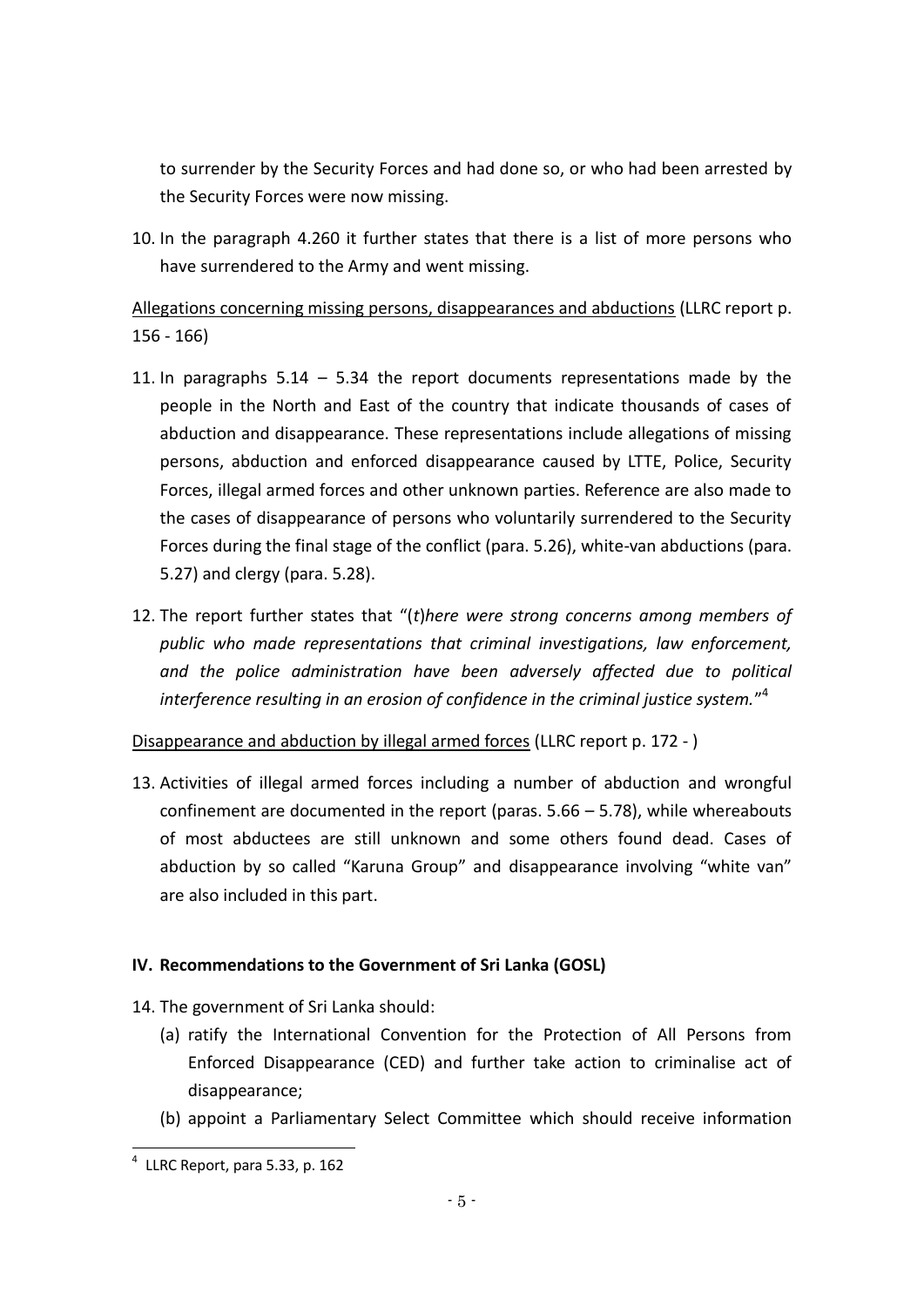to surrender by the Security Forces and had done so, or who had been arrested by the Security Forces were now missing.

10. In the paragraph 4.260 it further states that there is a list of more persons who have surrendered to the Army and went missing.

Allegations concerning missing persons, disappearances and abductions (LLRC report p. 156 - 166)

- 11. In paragraphs 5.14 5.34 the report documents representations made by the people in the North and East of the country that indicate thousands of cases of abduction and disappearance. These representations include allegations of missing persons, abduction and enforced disappearance caused by LTTE, Police, Security Forces, illegal armed forces and other unknown parties. Reference are also made to the cases of disappearance of persons who voluntarily surrendered to the Security Forces during the final stage of the conflict (para. 5.26), white-van abductions (para. 5.27) and clergy (para. 5.28).
- 12. The report further states that "(*t*)*here were strong concerns among members of public who made representations that criminal investigations, law enforcement, and the police administration have been adversely affected due to political interference resulting in an erosion of confidence in the criminal justice system.*" 4

Disappearance and abduction by illegal armed forces (LLRC report p. 172 - )

13. Activities of illegal armed forces including a number of abduction and wrongful confinement are documented in the report (paras. 5.66 – 5.78), while whereabouts of most abductees are still unknown and some others found dead. Cases of abduction by so called "Karuna Group" and disappearance involving "white van" are also included in this part.

# **IV. Recommendations to the Government of Sri Lanka (GOSL)**

- 14. The government of Sri Lanka should:
	- (a) ratify the International Convention for the Protection of All Persons from Enforced Disappearance (CED) and further take action to criminalise act of disappearance;
	- (b) appoint a Parliamentary Select Committee which should receive information

 4 LLRC Report, para 5.33, p. 162